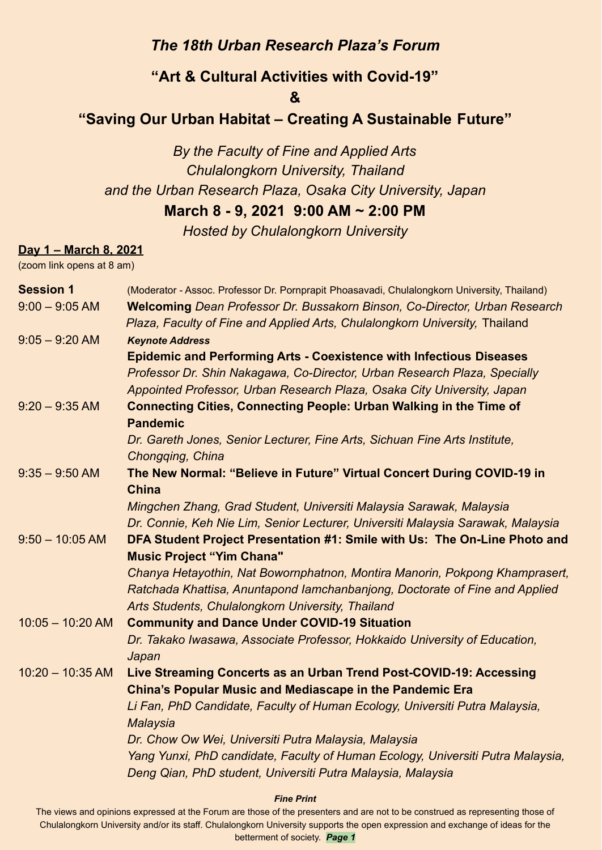## *The 18th Urban Research Plaza's Forum*

# **"Art & Cultural Activities with Covid-19"**

**&**

# **"Saving Our Urban Habitat – Creating A Sustainable Future"**

*By the Faculty of Fine and Applied Arts Chulalongkorn University, Thailand and the Urban Research Plaza, Osaka City University, Japan* **March 8 - 9, 2021 9:00 AM ~ 2:00 PM**

*Hosted by Chulalongkorn University*

### **Day 1 – March 8, 2021**

(zoom link opens at 8 am)

| <b>Session 1</b>   | (Moderator - Assoc. Professor Dr. Pornprapit Phoasavadi, Chulalongkorn University, Thailand)                                                   |
|--------------------|------------------------------------------------------------------------------------------------------------------------------------------------|
| $9:00 - 9:05$ AM   | Welcoming Dean Professor Dr. Bussakorn Binson, Co-Director, Urban Research                                                                     |
|                    | Plaza, Faculty of Fine and Applied Arts, Chulalongkorn University, Thailand                                                                    |
| $9.05 - 9.20$ AM   | <b>Keynote Address</b>                                                                                                                         |
|                    | <b>Epidemic and Performing Arts - Coexistence with Infectious Diseases</b>                                                                     |
|                    | Professor Dr. Shin Nakagawa, Co-Director, Urban Research Plaza, Specially                                                                      |
|                    | Appointed Professor, Urban Research Plaza, Osaka City University, Japan                                                                        |
| $9:20 - 9:35$ AM   | <b>Connecting Cities, Connecting People: Urban Walking in the Time of</b><br><b>Pandemic</b>                                                   |
|                    | Dr. Gareth Jones, Senior Lecturer, Fine Arts, Sichuan Fine Arts Institute,<br>Chongqing, China                                                 |
| $9.35 - 9.50$ AM   | The New Normal: "Believe in Future" Virtual Concert During COVID-19 in                                                                         |
|                    | <b>China</b>                                                                                                                                   |
|                    | Mingchen Zhang, Grad Student, Universiti Malaysia Sarawak, Malaysia                                                                            |
|                    | Dr. Connie, Keh Nie Lim, Senior Lecturer, Universiti Malaysia Sarawak, Malaysia                                                                |
| $9:50 - 10:05$ AM  | DFA Student Project Presentation #1: Smile with Us: The On-Line Photo and                                                                      |
|                    | <b>Music Project "Yim Chana"</b>                                                                                                               |
|                    | Chanya Hetayothin, Nat Bowornphatnon, Montira Manorin, Pokpong Khamprasert,                                                                    |
|                    | Ratchada Khattisa, Anuntapond lamchanbanjong, Doctorate of Fine and Applied                                                                    |
|                    | Arts Students, Chulalongkorn University, Thailand                                                                                              |
| $10:05 - 10:20$ AM | <b>Community and Dance Under COVID-19 Situation</b>                                                                                            |
|                    | Dr. Takako Iwasawa, Associate Professor, Hokkaido University of Education,<br>Japan                                                            |
| $10:20 - 10:35$ AM | Live Streaming Concerts as an Urban Trend Post-COVID-19: Accessing                                                                             |
|                    | <b>China's Popular Music and Mediascape in the Pandemic Era</b>                                                                                |
|                    | Li Fan, PhD Candidate, Faculty of Human Ecology, Universiti Putra Malaysia,<br>Malaysia                                                        |
|                    | Dr. Chow Ow Wei, Universiti Putra Malaysia, Malaysia                                                                                           |
|                    | Yang Yunxi, PhD candidate, Faculty of Human Ecology, Universiti Putra Malaysia,<br>Deng Qian, PhD student, Universiti Putra Malaysia, Malaysia |
|                    |                                                                                                                                                |

#### *Fine Print*

The views and opinions expressed at the Forum are those of the presenters and are not to be construed as representing those of Chulalongkorn University and/or its staff. Chulalongkorn University supports the open expression and exchange of ideas for the betterment of society. *Page 1*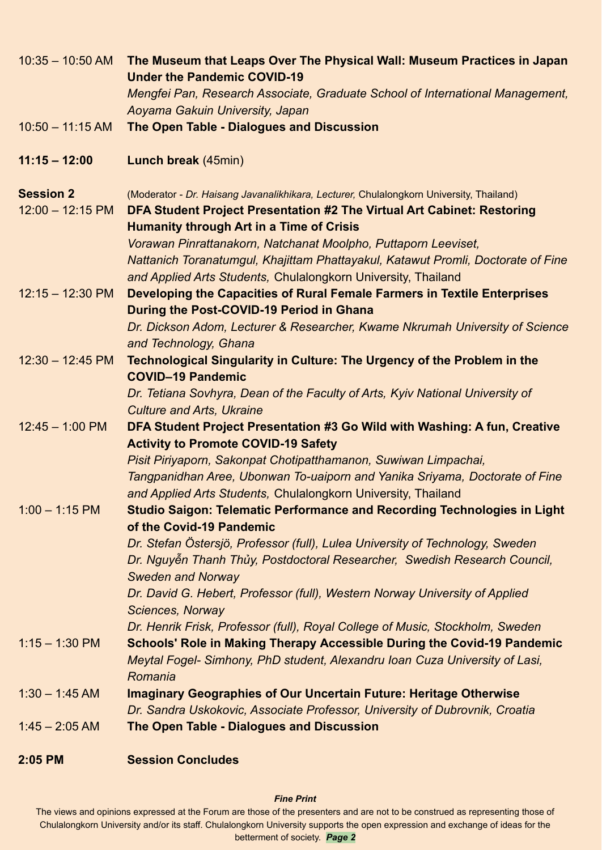| $10:35 - 10:50$ AM         | The Museum that Leaps Over The Physical Wall: Museum Practices in Japan<br><b>Under the Pandemic COVID-19</b>                                                 |
|----------------------------|---------------------------------------------------------------------------------------------------------------------------------------------------------------|
|                            | Mengfei Pan, Research Associate, Graduate School of International Management,<br>Aoyama Gakuin University, Japan                                              |
| $10:50 - 11:15$ AM         | The Open Table - Dialogues and Discussion                                                                                                                     |
| $11:15 - 12:00$            | Lunch break (45min)                                                                                                                                           |
| <b>Session 2</b>           | (Moderator - Dr. Haisang Javanalikhikara, Lecturer, Chulalongkorn University, Thailand)                                                                       |
| $12:00 - 12:15 \text{ PM}$ | DFA Student Project Presentation #2 The Virtual Art Cabinet: Restoring<br><b>Humanity through Art in a Time of Crisis</b>                                     |
|                            | Vorawan Pinrattanakorn, Natchanat Moolpho, Puttaporn Leeviset,                                                                                                |
|                            | Nattanich Toranatumgul, Khajittam Phattayakul, Katawut Promli, Doctorate of Fine                                                                              |
|                            | and Applied Arts Students, Chulalongkorn University, Thailand                                                                                                 |
| $12:15 - 12:30 \text{ PM}$ | Developing the Capacities of Rural Female Farmers in Textile Enterprises                                                                                      |
|                            | During the Post-COVID-19 Period in Ghana<br>Dr. Dickson Adom, Lecturer & Researcher, Kwame Nkrumah University of Science                                      |
|                            | and Technology, Ghana                                                                                                                                         |
| $12:30 - 12:45$ PM         | <b>Technological Singularity in Culture: The Urgency of the Problem in the</b>                                                                                |
|                            | <b>COVID-19 Pandemic</b>                                                                                                                                      |
|                            | Dr. Tetiana Sovhyra, Dean of the Faculty of Arts, Kyiv National University of                                                                                 |
|                            | <b>Culture and Arts, Ukraine</b>                                                                                                                              |
| $12:45 - 1:00$ PM          | DFA Student Project Presentation #3 Go Wild with Washing: A fun, Creative                                                                                     |
|                            | <b>Activity to Promote COVID-19 Safety</b><br>Pisit Piriyaporn, Sakonpat Chotipatthamanon, Suwiwan Limpachai,                                                 |
|                            | Tangpanidhan Aree, Ubonwan To-uaiporn and Yanika Sriyama, Doctorate of Fine                                                                                   |
|                            | and Applied Arts Students, Chulalongkorn University, Thailand                                                                                                 |
| $1:00 - 1:15$ PM           | <b>Studio Saigon: Telematic Performance and Recording Technologies in Light</b><br>of the Covid-19 Pandemic                                                   |
|                            | Dr. Stefan Östersjö, Professor (full), Lulea University of Technology, Sweden                                                                                 |
|                            | Dr. Nguyễn Thanh Thủy, Postdoctoral Researcher, Swedish Research Council,                                                                                     |
|                            | <b>Sweden and Norway</b>                                                                                                                                      |
|                            | Dr. David G. Hebert, Professor (full), Western Norway University of Applied                                                                                   |
|                            | <b>Sciences, Norway</b>                                                                                                                                       |
| $1:15 - 1:30$ PM           | Dr. Henrik Frisk, Professor (full), Royal College of Music, Stockholm, Sweden                                                                                 |
|                            | <b>Schools' Role in Making Therapy Accessible During the Covid-19 Pandemic</b><br>Meytal Fogel- Simhony, PhD student, Alexandru Ioan Cuza University of Lasi, |
|                            | Romania                                                                                                                                                       |
| $1:30 - 1:45$ AM           | <b>Imaginary Geographies of Our Uncertain Future: Heritage Otherwise</b>                                                                                      |
|                            | Dr. Sandra Uskokovic, Associate Professor, University of Dubrovnik, Croatia                                                                                   |
| $1:45 - 2:05$ AM           | <b>The Open Table - Dialogues and Discussion</b>                                                                                                              |
| 2:05 PM                    | <b>Session Concludes</b>                                                                                                                                      |

### *Fine Print*

The views and opinions expressed at the Forum are those of the presenters and are not to be construed as representing those of Chulalongkorn University and/or its staff. Chulalongkorn University supports the open expression and exchange of ideas for the betterment of society. *Page 2*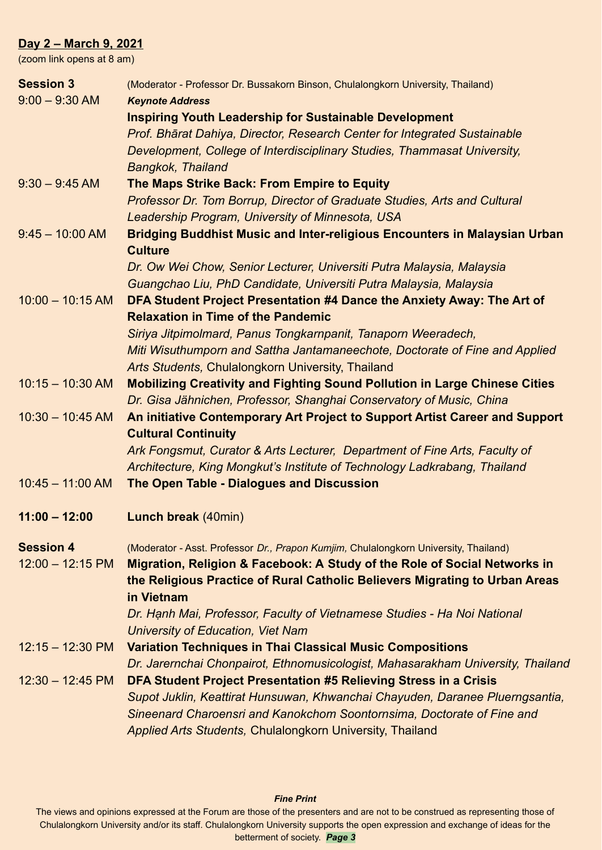### **Day 2 – March 9, 2021**

(zoom link opens at 8 am)

| <b>Session 3</b>           | (Moderator - Professor Dr. Bussakorn Binson, Chulalongkorn University, Thailand)                          |
|----------------------------|-----------------------------------------------------------------------------------------------------------|
| $9:00 - 9:30$ AM           | <b>Keynote Address</b>                                                                                    |
|                            | <b>Inspiring Youth Leadership for Sustainable Development</b>                                             |
|                            | Prof. Bhārat Dahiya, Director, Research Center for Integrated Sustainable                                 |
|                            | Development, College of Interdisciplinary Studies, Thammasat University,                                  |
|                            | <b>Bangkok, Thailand</b>                                                                                  |
| $9:30 - 9:45$ AM           | The Maps Strike Back: From Empire to Equity                                                               |
|                            | Professor Dr. Tom Borrup, Director of Graduate Studies, Arts and Cultural                                 |
|                            | Leadership Program, University of Minnesota, USA                                                          |
| $9.45 - 10:00$ AM          | <b>Bridging Buddhist Music and Inter-religious Encounters in Malaysian Urban</b>                          |
|                            | <b>Culture</b>                                                                                            |
|                            | Dr. Ow Wei Chow, Senior Lecturer, Universiti Putra Malaysia, Malaysia                                     |
|                            | Guangchao Liu, PhD Candidate, Universiti Putra Malaysia, Malaysia                                         |
| $10:00 - 10:15$ AM         | DFA Student Project Presentation #4 Dance the Anxiety Away: The Art of                                    |
|                            | <b>Relaxation in Time of the Pandemic</b>                                                                 |
|                            | Siriya Jitpimolmard, Panus Tongkarnpanit, Tanaporn Weeradech,                                             |
|                            | Miti Wisuthumporn and Sattha Jantamaneechote, Doctorate of Fine and Applied                               |
|                            | Arts Students, Chulalongkorn University, Thailand                                                         |
| $10:15 - 10:30$ AM         | <b>Mobilizing Creativity and Fighting Sound Pollution in Large Chinese Cities</b>                         |
|                            | Dr. Gisa Jähnichen, Professor, Shanghai Conservatory of Music, China                                      |
| $10:30 - 10:45$ AM         | An initiative Contemporary Art Project to Support Artist Career and Support<br><b>Cultural Continuity</b> |
|                            | Ark Fongsmut, Curator & Arts Lecturer, Department of Fine Arts, Faculty of                                |
|                            | Architecture, King Mongkut's Institute of Technology Ladkrabang, Thailand                                 |
| $10:45 - 11:00$ AM         | The Open Table - Dialogues and Discussion                                                                 |
| $11:00 - 12:00$            | <b>Lunch break (40min)</b>                                                                                |
|                            |                                                                                                           |
| <b>Session 4</b>           | (Moderator - Asst. Professor Dr., Prapon Kumjim, Chulalongkorn University, Thailand)                      |
| $12:00 - 12:15 \text{ PM}$ | Migration, Religion & Facebook: A Study of the Role of Social Networks in                                 |
|                            | the Religious Practice of Rural Catholic Believers Migrating to Urban Areas<br>in Vietnam                 |
|                            | Dr. Hanh Mai, Professor, Faculty of Vietnamese Studies - Ha Noi National                                  |
|                            | University of Education, Viet Nam                                                                         |
| $12:15 - 12:30 \text{ PM}$ | <b>Variation Techniques in Thai Classical Music Compositions</b>                                          |
|                            | Dr. Jarernchai Chonpairot, Ethnomusicologist, Mahasarakham University, Thailand                           |
| $12:30 - 12:45 \text{ PM}$ | DFA Student Project Presentation #5 Relieving Stress in a Crisis                                          |
|                            | Supot Juklin, Keattirat Hunsuwan, Khwanchai Chayuden, Daranee Pluerngsantia,                              |
|                            | Sineenard Charoensri and Kanokchom Soontornsima, Doctorate of Fine and                                    |
|                            | Applied Arts Students, Chulalongkorn University, Thailand                                                 |
|                            |                                                                                                           |

#### *Fine Print*

The views and opinions expressed at the Forum are those of the presenters and are not to be construed as representing those of Chulalongkorn University and/or its staff. Chulalongkorn University supports the open expression and exchange of ideas for the betterment of society. *Page 3*